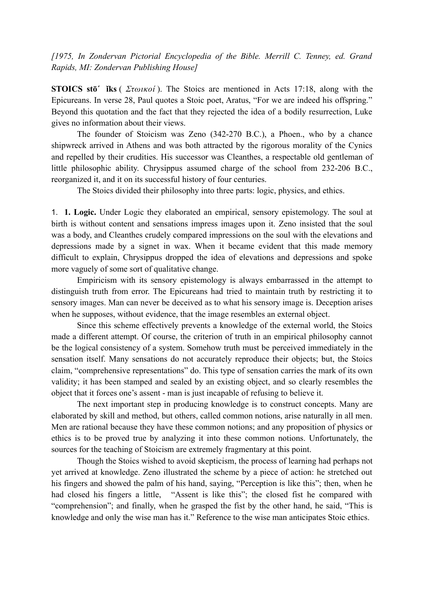*[1975, In Zondervan Pictorial Encyclopedia of the Bible. Merrill C. Tenney, ed. Grand Rapids, MI: Zondervan Publishing House]*

**STOICS stō´ ǐks** ( *Στωικοί* ). The Stoics are mentioned in Acts 17:18, along with the Epicureans. In verse 28, Paul quotes a Stoic poet, Aratus, "For we are indeed his offspring." Beyond this quotation and the fact that they rejected the idea of a bodily resurrection, Luke gives no information about their views.

The founder of Stoicism was Zeno (342-270 B.C.), a Phoen., who by a chance shipwreck arrived in Athens and was both attracted by the rigorous morality of the Cynics and repelled by their crudities. His successor was Cleanthes, a respectable old gentleman of little philosophic ability. Chrysippus assumed charge of the school from 232-206 B.C., reorganized it, and it on its successful history of four centuries.

The Stoics divided their philosophy into three parts: logic, physics, and ethics.

1. **1. Logic.** Under Logic they elaborated an empirical, sensory epistemology. The soul at birth is without content and sensations impress images upon it. Zeno insisted that the soul was a body, and Cleanthes crudely compared impressions on the soul with the elevations and depressions made by a signet in wax. When it became evident that this made memory difficult to explain, Chrysippus dropped the idea of elevations and depressions and spoke more vaguely of some sort of qualitative change.

Empiricism with its sensory epistemology is always embarrassed in the attempt to distinguish truth from error. The Epicureans had tried to maintain truth by restricting it to sensory images. Man can never be deceived as to what his sensory image is. Deception arises when he supposes, without evidence, that the image resembles an external object.

Since this scheme effectively prevents a knowledge of the external world, the Stoics made a different attempt. Of course, the criterion of truth in an empirical philosophy cannot be the logical consistency of a system. Somehow truth must be perceived immediately in the sensation itself. Many sensations do not accurately reproduce their objects; but, the Stoics claim, "comprehensive representations" do. This type of sensation carries the mark of its own validity; it has been stamped and sealed by an existing object, and so clearly resembles the object that it forces one's assent - man is just incapable of refusing to believe it.

The next important step in producing knowledge is to construct concepts. Many are elaborated by skill and method, but others, called common notions, arise naturally in all men. Men are rational because they have these common notions; and any proposition of physics or ethics is to be proved true by analyzing it into these common notions. Unfortunately, the sources for the teaching of Stoicism are extremely fragmentary at this point.

Though the Stoics wished to avoid skepticism, the process of learning had perhaps not yet arrived at knowledge. Zeno illustrated the scheme by a piece of action: he stretched out his fingers and showed the palm of his hand, saying, "Perception is like this"; then, when he had closed his fingers a little, "Assent is like this"; the closed fist he compared with "comprehension"; and finally, when he grasped the fist by the other hand, he said, "This is knowledge and only the wise man has it." Reference to the wise man anticipates Stoic ethics.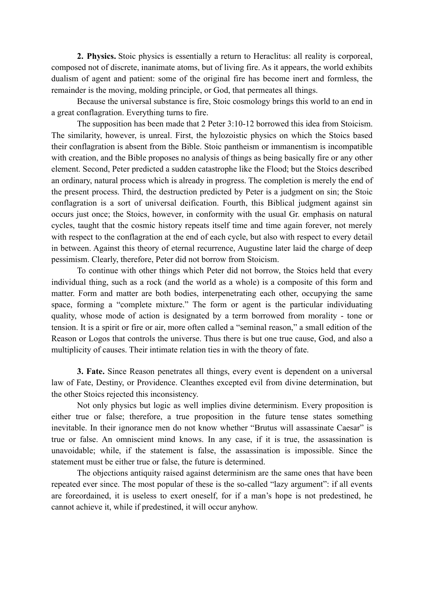**2. Physics.** Stoic physics is essentially a return to Heraclitus: all reality is corporeal, composed not of discrete, inanimate atoms, but of living fire. As it appears, the world exhibits dualism of agent and patient: some of the original fire has become inert and formless, the remainder is the moving, molding principle, or God, that permeates all things.

Because the universal substance is fire, Stoic cosmology brings this world to an end in a great conflagration. Everything turns to fire.

The supposition has been made that 2 Peter 3:10-12 borrowed this idea from Stoicism. The similarity, however, is unreal. First, the hylozoistic physics on which the Stoics based their conflagration is absent from the Bible. Stoic pantheism or immanentism is incompatible with creation, and the Bible proposes no analysis of things as being basically fire or any other element. Second, Peter predicted a sudden catastrophe like the Flood; but the Stoics described an ordinary, natural process which is already in progress. The completion is merely the end of the present process. Third, the destruction predicted by Peter is a judgment on sin; the Stoic conflagration is a sort of universal deification. Fourth, this Biblical judgment against sin occurs just once; the Stoics, however, in conformity with the usual Gr. emphasis on natural cycles, taught that the cosmic history repeats itself time and time again forever, not merely with respect to the conflagration at the end of each cycle, but also with respect to every detail in between. Against this theory of eternal recurrence, Augustine later laid the charge of deep pessimism. Clearly, therefore, Peter did not borrow from Stoicism.

To continue with other things which Peter did not borrow, the Stoics held that every individual thing, such as a rock (and the world as a whole) is a composite of this form and matter. Form and matter are both bodies, interpenetrating each other, occupying the same space, forming a "complete mixture." The form or agent is the particular individuating quality, whose mode of action is designated by a term borrowed from morality - tone or tension. It is a spirit or fire or air, more often called a "seminal reason," a small edition of the Reason or Logos that controls the universe. Thus there is but one true cause, God, and also a multiplicity of causes. Their intimate relation ties in with the theory of fate.

**3. Fate.** Since Reason penetrates all things, every event is dependent on a universal law of Fate, Destiny, or Providence. Cleanthes excepted evil from divine determination, but the other Stoics rejected this inconsistency.

Not only physics but logic as well implies divine determinism. Every proposition is either true or false; therefore, a true proposition in the future tense states something inevitable. In their ignorance men do not know whether "Brutus will assassinate Caesar" is true or false. An omniscient mind knows. In any case, if it is true, the assassination is unavoidable; while, if the statement is false, the assassination is impossible. Since the statement must be either true or false, the future is determined.

The objections antiquity raised against determinism are the same ones that have been repeated ever since. The most popular of these is the so-called "lazy argument": if all events are foreordained, it is useless to exert oneself, for if a man's hope is not predestined, he cannot achieve it, while if predestined, it will occur anyhow.